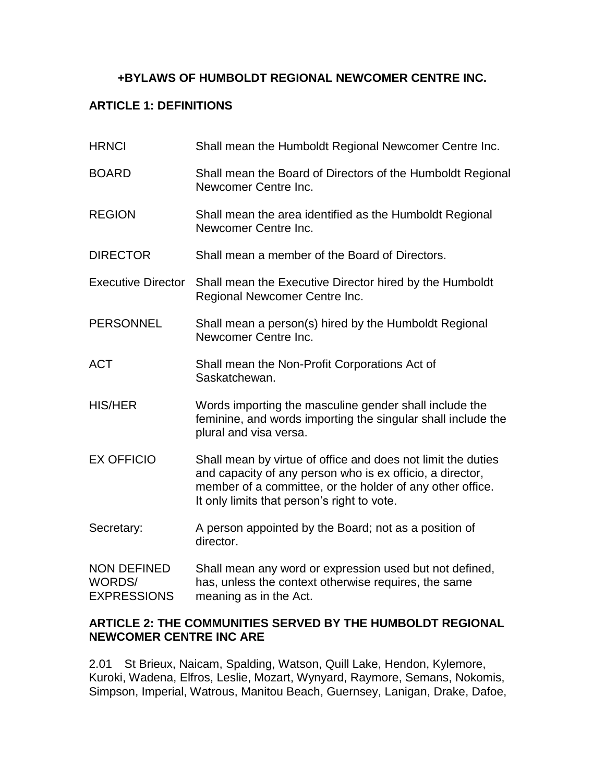## **+BYLAWS OF HUMBOLDT REGIONAL NEWCOMER CENTRE INC.**

## **ARTICLE 1: DEFINITIONS**

| <b>HRNCI</b>                                       | Shall mean the Humboldt Regional Newcomer Centre Inc.                                                                                                                                                                                 |
|----------------------------------------------------|---------------------------------------------------------------------------------------------------------------------------------------------------------------------------------------------------------------------------------------|
| <b>BOARD</b>                                       | Shall mean the Board of Directors of the Humboldt Regional<br>Newcomer Centre Inc.                                                                                                                                                    |
| <b>REGION</b>                                      | Shall mean the area identified as the Humboldt Regional<br>Newcomer Centre Inc.                                                                                                                                                       |
| <b>DIRECTOR</b>                                    | Shall mean a member of the Board of Directors.                                                                                                                                                                                        |
| <b>Executive Director</b>                          | Shall mean the Executive Director hired by the Humboldt<br>Regional Newcomer Centre Inc.                                                                                                                                              |
| <b>PERSONNEL</b>                                   | Shall mean a person(s) hired by the Humboldt Regional<br>Newcomer Centre Inc.                                                                                                                                                         |
| <b>ACT</b>                                         | Shall mean the Non-Profit Corporations Act of<br>Saskatchewan.                                                                                                                                                                        |
| <b>HIS/HER</b>                                     | Words importing the masculine gender shall include the<br>feminine, and words importing the singular shall include the<br>plural and visa versa.                                                                                      |
| <b>EX OFFICIO</b>                                  | Shall mean by virtue of office and does not limit the duties<br>and capacity of any person who is ex officio, a director,<br>member of a committee, or the holder of any other office.<br>It only limits that person's right to vote. |
| Secretary:                                         | A person appointed by the Board; not as a position of<br>director.                                                                                                                                                                    |
| <b>NON DEFINED</b><br>WORDS/<br><b>EXPRESSIONS</b> | Shall mean any word or expression used but not defined,<br>has, unless the context otherwise requires, the same<br>meaning as in the Act.                                                                                             |

## **ARTICLE 2: THE COMMUNITIES SERVED BY THE HUMBOLDT REGIONAL NEWCOMER CENTRE INC ARE**

2.01 St Brieux, Naicam, Spalding, Watson, Quill Lake, Hendon, Kylemore, Kuroki, Wadena, Elfros, Leslie, Mozart, Wynyard, Raymore, Semans, Nokomis, Simpson, Imperial, Watrous, Manitou Beach, Guernsey, Lanigan, Drake, Dafoe,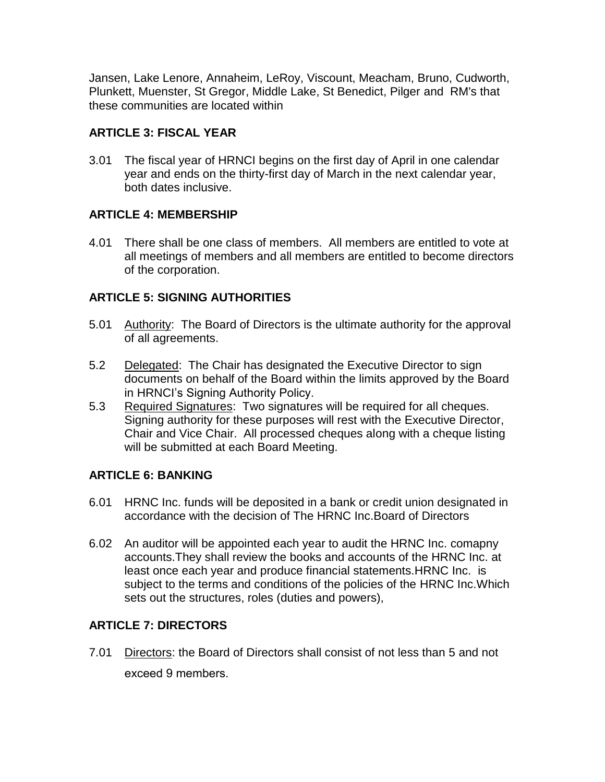Jansen, Lake Lenore, Annaheim, LeRoy, Viscount, Meacham, Bruno, Cudworth, Plunkett, Muenster, St Gregor, Middle Lake, St Benedict, Pilger and RM's that these communities are located within

# **ARTICLE 3: FISCAL YEAR**

3.01 The fiscal year of HRNCI begins on the first day of April in one calendar year and ends on the thirty-first day of March in the next calendar year, both dates inclusive.

## **ARTICLE 4: MEMBERSHIP**

4.01 There shall be one class of members. All members are entitled to vote at all meetings of members and all members are entitled to become directors of the corporation.

## **ARTICLE 5: SIGNING AUTHORITIES**

- 5.01 Authority: The Board of Directors is the ultimate authority for the approval of all agreements.
- 5.2 Delegated: The Chair has designated the Executive Director to sign documents on behalf of the Board within the limits approved by the Board in HRNCI's Signing Authority Policy.
- 5.3 Required Signatures: Two signatures will be required for all cheques. Signing authority for these purposes will rest with the Executive Director, Chair and Vice Chair. All processed cheques along with a cheque listing will be submitted at each Board Meeting.

# **ARTICLE 6: BANKING**

- 6.01 HRNC Inc. funds will be deposited in a bank or credit union designated in accordance with the decision of The HRNC Inc.Board of Directors
- 6.02 An auditor will be appointed each year to audit the HRNC Inc. comapny accounts.They shall review the books and accounts of the HRNC Inc. at least once each year and produce financial statements.HRNC Inc. is subject to the terms and conditions of the policies of the HRNC Inc.Which sets out the structures, roles (duties and powers),

# **ARTICLE 7: DIRECTORS**

7.01 Directors: the Board of Directors shall consist of not less than 5 and not exceed 9 members.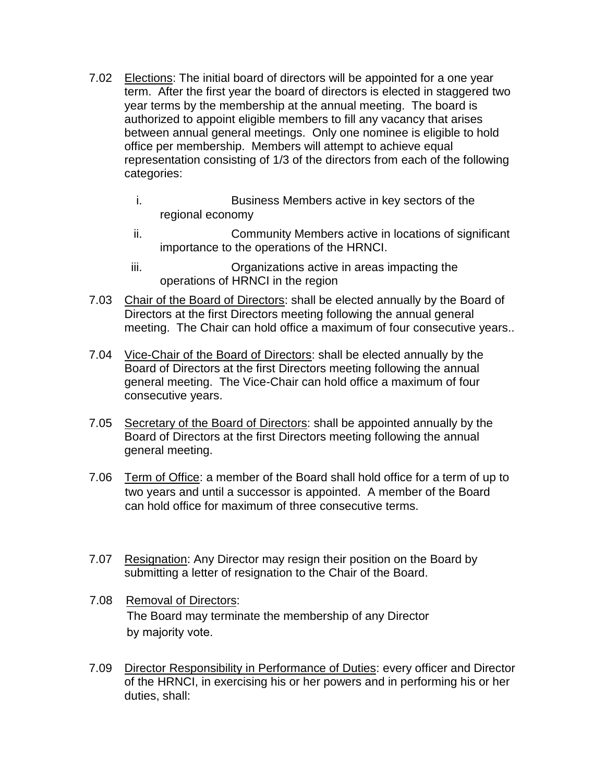- 7.02 Elections: The initial board of directors will be appointed for a one year term. After the first year the board of directors is elected in staggered two year terms by the membership at the annual meeting. The board is authorized to appoint eligible members to fill any vacancy that arises between annual general meetings. Only one nominee is eligible to hold office per membership. Members will attempt to achieve equal representation consisting of 1/3 of the directors from each of the following categories:
	- i. Business Members active in key sectors of the regional economy
	- ii. Community Members active in locations of significant importance to the operations of the HRNCI.
	- iii. Organizations active in areas impacting the operations of HRNCI in the region
- 7.03 Chair of the Board of Directors: shall be elected annually by the Board of Directors at the first Directors meeting following the annual general meeting. The Chair can hold office a maximum of four consecutive years..
- 7.04 Vice-Chair of the Board of Directors: shall be elected annually by the Board of Directors at the first Directors meeting following the annual general meeting. The Vice-Chair can hold office a maximum of four consecutive years.
- 7.05 Secretary of the Board of Directors: shall be appointed annually by the Board of Directors at the first Directors meeting following the annual general meeting.
- 7.06 Term of Office: a member of the Board shall hold office for a term of up to two years and until a successor is appointed. A member of the Board can hold office for maximum of three consecutive terms.
- 7.07 Resignation: Any Director may resign their position on the Board by submitting a letter of resignation to the Chair of the Board.
- 7.08 Removal of Directors: The Board may terminate the membership of any Director by majority vote.
- 7.09 Director Responsibility in Performance of Duties: every officer and Director of the HRNCI, in exercising his or her powers and in performing his or her duties, shall: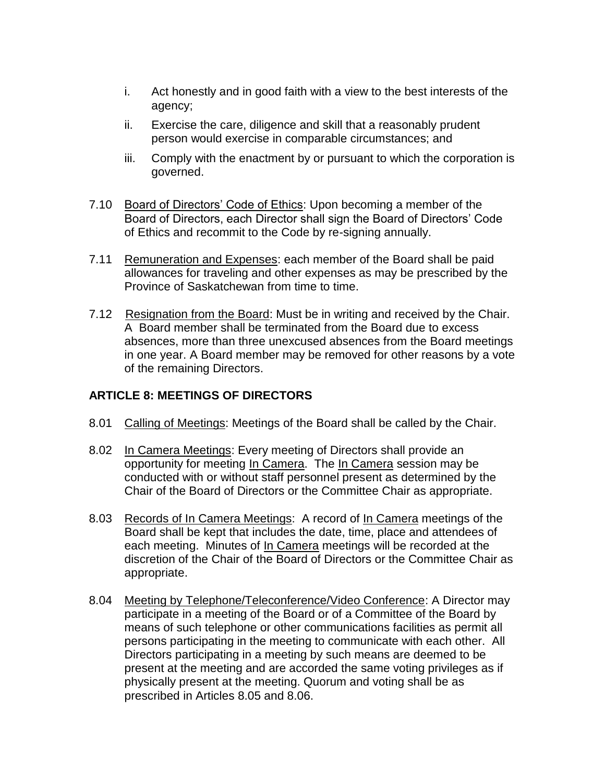- i. Act honestly and in good faith with a view to the best interests of the agency;
- ii. Exercise the care, diligence and skill that a reasonably prudent person would exercise in comparable circumstances; and
- iii. Comply with the enactment by or pursuant to which the corporation is governed.
- 7.10 Board of Directors' Code of Ethics: Upon becoming a member of the Board of Directors, each Director shall sign the Board of Directors' Code of Ethics and recommit to the Code by re-signing annually.
- 7.11 Remuneration and Expenses: each member of the Board shall be paid allowances for traveling and other expenses as may be prescribed by the Province of Saskatchewan from time to time.
- 7.12 Resignation from the Board: Must be in writing and received by the Chair. A Board member shall be terminated from the Board due to excess absences, more than three unexcused absences from the Board meetings in one year. A Board member may be removed for other reasons by a vote of the remaining Directors.

## **ARTICLE 8: MEETINGS OF DIRECTORS**

- 8.01 Calling of Meetings: Meetings of the Board shall be called by the Chair.
- 8.02 In Camera Meetings: Every meeting of Directors shall provide an opportunity for meeting In Camera. The In Camera session may be conducted with or without staff personnel present as determined by the Chair of the Board of Directors or the Committee Chair as appropriate.
- 8.03 Records of In Camera Meetings: A record of In Camera meetings of the Board shall be kept that includes the date, time, place and attendees of each meeting. Minutes of In Camera meetings will be recorded at the discretion of the Chair of the Board of Directors or the Committee Chair as appropriate.
- 8.04 Meeting by Telephone/Teleconference/Video Conference: A Director may participate in a meeting of the Board or of a Committee of the Board by means of such telephone or other communications facilities as permit all persons participating in the meeting to communicate with each other. All Directors participating in a meeting by such means are deemed to be present at the meeting and are accorded the same voting privileges as if physically present at the meeting. Quorum and voting shall be as prescribed in Articles 8.05 and 8.06.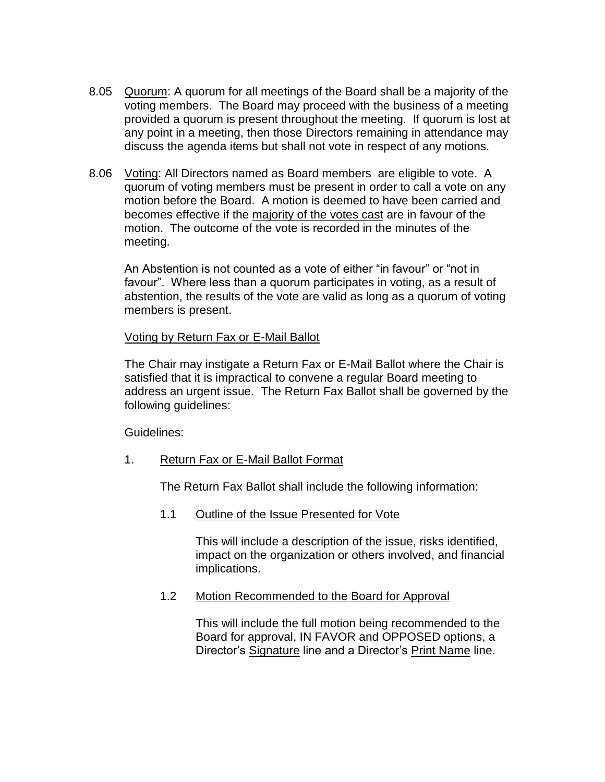- 8.05 Quorum: A quorum for all meetings of the Board shall be a majority of the voting members. The Board may proceed with the business of a meeting provided a quorum is present throughout the meeting. If quorum is lost at any point in a meeting, then those Directors remaining in attendance may discuss the agenda items but shall not vote in respect of any motions.
- 8.06 Voting: All Directors named as Board members are eligible to vote. A quorum of voting members must be present in order to call a vote on any motion before the Board. A motion is deemed to have been carried and becomes effective if the majority of the votes cast are in favour of the motion. The outcome of the vote is recorded in the minutes of the meeting.

An Abstention is not counted as a vote of either "in favour" or "not in favour". Where less than a quorum participates in voting, as a result of abstention, the results of the vote are valid as long as a quorum of voting members is present.

#### Voting by Return Fax or E-Mail Ballot

The Chair may instigate a Return Fax or E-Mail Ballot where the Chair is satisfied that it is impractical to convene a regular Board meeting to address an urgent issue. The Return Fax Ballot shall be governed by the following guidelines:

Guidelines:

1. Return Fax or E-Mail Ballot Format

The Return Fax Ballot shall include the following information:

1.1 Outline of the Issue Presented for Vote

This will include a description of the issue, risks identified, impact on the organization or others involved, and financial implications.

1.2 Motion Recommended to the Board for Approval

This will include the full motion being recommended to the Board for approval, IN FAVOR and OPPOSED options, a Director's Signature line and a Director's Print Name line.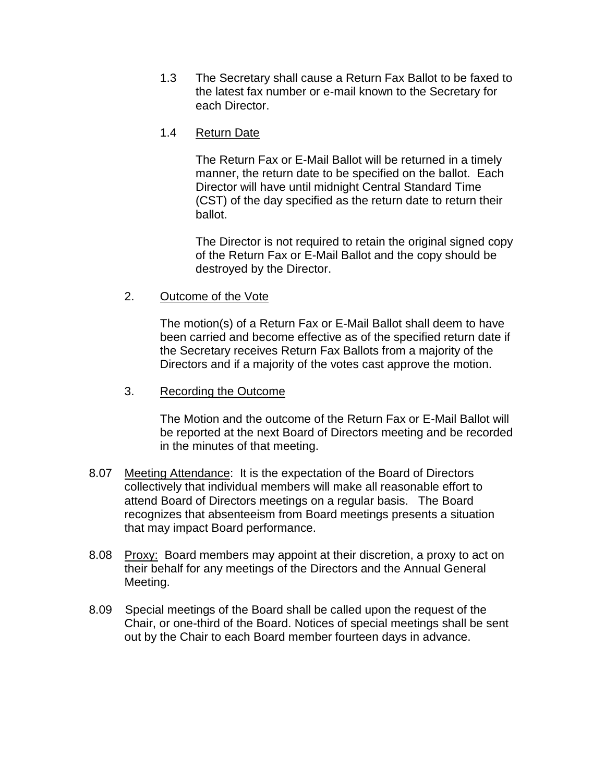1.3 The Secretary shall cause a Return Fax Ballot to be faxed to the latest fax number or e-mail known to the Secretary for each Director.

### 1.4 Return Date

The Return Fax or E-Mail Ballot will be returned in a timely manner, the return date to be specified on the ballot. Each Director will have until midnight Central Standard Time (CST) of the day specified as the return date to return their ballot.

The Director is not required to retain the original signed copy of the Return Fax or E-Mail Ballot and the copy should be destroyed by the Director.

2. Outcome of the Vote

The motion(s) of a Return Fax or E-Mail Ballot shall deem to have been carried and become effective as of the specified return date if the Secretary receives Return Fax Ballots from a majority of the Directors and if a majority of the votes cast approve the motion.

#### 3. Recording the Outcome

The Motion and the outcome of the Return Fax or E-Mail Ballot will be reported at the next Board of Directors meeting and be recorded in the minutes of that meeting.

- 8.07 Meeting Attendance: It is the expectation of the Board of Directors collectively that individual members will make all reasonable effort to attend Board of Directors meetings on a regular basis. The Board recognizes that absenteeism from Board meetings presents a situation that may impact Board performance.
- 8.08 Proxy: Board members may appoint at their discretion, a proxy to act on their behalf for any meetings of the Directors and the Annual General Meeting.
- 8.09 Special meetings of the Board shall be called upon the request of the Chair, or one-third of the Board. Notices of special meetings shall be sent out by the Chair to each Board member fourteen days in advance.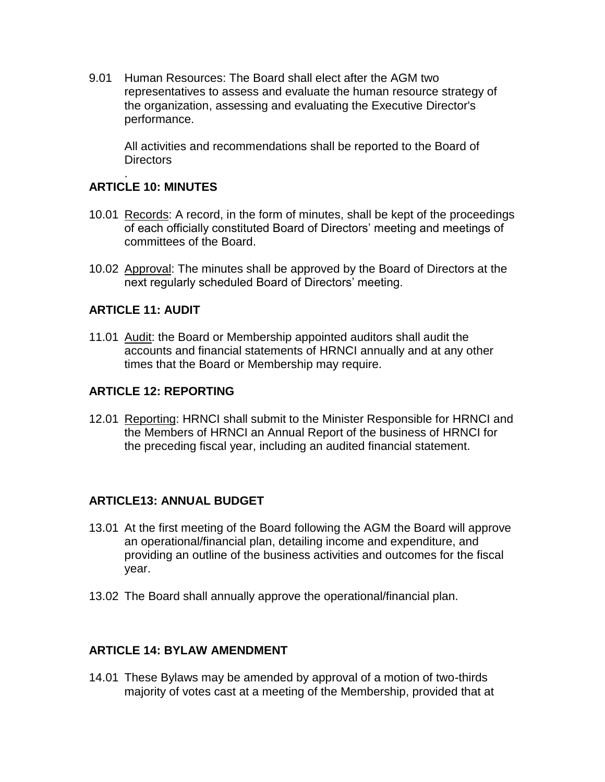9.01 Human Resources: The Board shall elect after the AGM two representatives to assess and evaluate the human resource strategy of the organization, assessing and evaluating the Executive Director's performance.

All activities and recommendations shall be reported to the Board of Directors

#### . **ARTICLE 10: MINUTES**

- 10.01 Records: A record, in the form of minutes, shall be kept of the proceedings of each officially constituted Board of Directors' meeting and meetings of committees of the Board.
- 10.02 Approval: The minutes shall be approved by the Board of Directors at the next regularly scheduled Board of Directors' meeting.

### **ARTICLE 11: AUDIT**

11.01 Audit: the Board or Membership appointed auditors shall audit the accounts and financial statements of HRNCI annually and at any other times that the Board or Membership may require.

### **ARTICLE 12: REPORTING**

12.01 Reporting: HRNCI shall submit to the Minister Responsible for HRNCI and the Members of HRNCI an Annual Report of the business of HRNCI for the preceding fiscal year, including an audited financial statement.

### **ARTICLE13: ANNUAL BUDGET**

- 13.01 At the first meeting of the Board following the AGM the Board will approve an operational/financial plan, detailing income and expenditure, and providing an outline of the business activities and outcomes for the fiscal year.
- 13.02 The Board shall annually approve the operational/financial plan.

### **ARTICLE 14: BYLAW AMENDMENT**

14.01 These Bylaws may be amended by approval of a motion of two-thirds majority of votes cast at a meeting of the Membership, provided that at